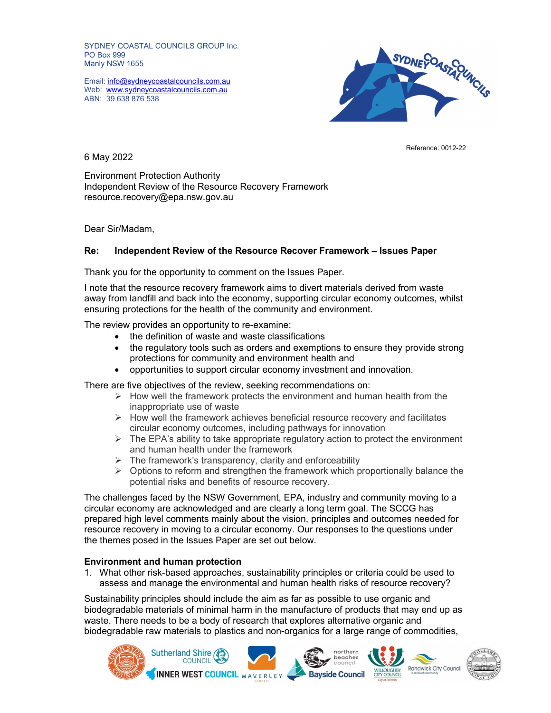SYDNEY COASTAL COUNCILS GROUP Inc. PO Box 999 Manly NSW 1655

Web: www.sydneycoastalcouncils.com.au ABN: 39 638 876 538



6 May 2022

Environment Protection Authority Independent Review of the Resource Recovery Framework resource.recovery@epa.nsw.gov.au

Dear Sir/Madam,

# Re: Independent Review of the Resource Recover Framework – Issues Paper

Thank you for the opportunity to comment on the Issues Paper.

I note that the resource recovery framework aims to divert materials derived from waste away from landfill and back into the economy, supporting circular economy outcomes, whilst ensuring protections for the health of the community and environment.

The review provides an opportunity to re-examine:

- the definition of waste and waste classifications
- the regulatory tools such as orders and exemptions to ensure they provide strong protections for community and environment health and
- opportunities to support circular economy investment and innovation.

There are five objectives of the review, seeking recommendations on:

- $\triangleright$  How well the framework protects the environment and human health from the inappropriate use of waste
- $\triangleright$  How well the framework achieves beneficial resource recovery and facilitates circular economy outcomes, including pathways for innovation
- $\triangleright$  The EPA's ability to take appropriate regulatory action to protect the environment and human health under the framework
- $\triangleright$  The framework's transparency, clarity and enforceability
- $\triangleright$  Options to reform and strengthen the framework which proportionally balance the potential risks and benefits of resource recovery.

The challenges faced by the NSW Government, EPA, industry and community moving to a circular economy are acknowledged and are clearly a long term goal. The SCCG has prepared high level comments mainly about the vision, principles and outcomes needed for resource recovery in moving to a circular economy. Our responses to the questions under the themes posed in the Issues Paper are set out below.

## Environment and human protection

1. What other risk-based approaches, sustainability principles or criteria could be used to assess and manage the environmental and human health risks of resource recovery?

Sustainability principles should include the aim as far as possible to use organic and biodegradable materials of minimal harm in the manufacture of products that may end up as waste. There needs to be a body of research that explores alternative organic and biodegradable raw materials to plastics and non-organics for a large range of commodities,



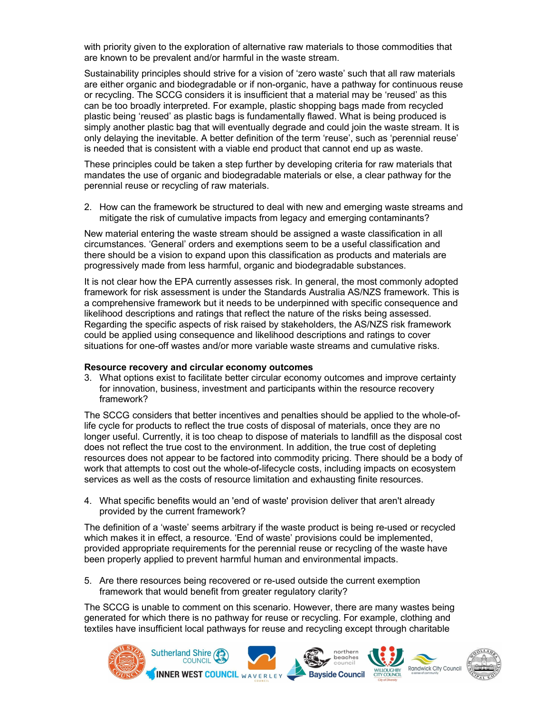with priority given to the exploration of alternative raw materials to those commodities that are known to be prevalent and/or harmful in the waste stream.

Sustainability principles should strive for a vision of 'zero waste' such that all raw materials are either organic and biodegradable or if non-organic, have a pathway for continuous reuse or recycling. The SCCG considers it is insufficient that a material may be 'reused' as this can be too broadly interpreted. For example, plastic shopping bags made from recycled plastic being 'reused' as plastic bags is fundamentally flawed. What is being produced is simply another plastic bag that will eventually degrade and could join the waste stream. It is only delaying the inevitable. A better definition of the term 'reuse', such as 'perennial reuse' is needed that is consistent with a viable end product that cannot end up as waste.

These principles could be taken a step further by developing criteria for raw materials that mandates the use of organic and biodegradable materials or else, a clear pathway for the perennial reuse or recycling of raw materials.

2. How can the framework be structured to deal with new and emerging waste streams and mitigate the risk of cumulative impacts from legacy and emerging contaminants?

New material entering the waste stream should be assigned a waste classification in all circumstances. 'General' orders and exemptions seem to be a useful classification and there should be a vision to expand upon this classification as products and materials are progressively made from less harmful, organic and biodegradable substances.

It is not clear how the EPA currently assesses risk. In general, the most commonly adopted framework for risk assessment is under the Standards Australia AS/NZS framework. This is a comprehensive framework but it needs to be underpinned with specific consequence and likelihood descriptions and ratings that reflect the nature of the risks being assessed. Regarding the specific aspects of risk raised by stakeholders, the AS/NZS risk framework could be applied using consequence and likelihood descriptions and ratings to cover situations for one-off wastes and/or more variable waste streams and cumulative risks.

## Resource recovery and circular economy outcomes

3. What options exist to facilitate better circular economy outcomes and improve certainty for innovation, business, investment and participants within the resource recovery framework?

The SCCG considers that better incentives and penalties should be applied to the whole-oflife cycle for products to reflect the true costs of disposal of materials, once they are no longer useful. Currently, it is too cheap to dispose of materials to landfill as the disposal cost does not reflect the true cost to the environment. In addition, the true cost of depleting resources does not appear to be factored into commodity pricing. There should be a body of work that attempts to cost out the whole-of-lifecycle costs, including impacts on ecosystem services as well as the costs of resource limitation and exhausting finite resources.

4. What specific benefits would an 'end of waste' provision deliver that aren't already provided by the current framework?

The definition of a 'waste' seems arbitrary if the waste product is being re-used or recycled which makes it in effect, a resource. 'End of waste' provisions could be implemented, provided appropriate requirements for the perennial reuse or recycling of the waste have been properly applied to prevent harmful human and environmental impacts.

5. Are there resources being recovered or re-used outside the current exemption framework that would benefit from greater regulatory clarity?

The SCCG is unable to comment on this scenario. However, there are many wastes being generated for which there is no pathway for reuse or recycling. For example, clothing and textiles have insufficient local pathways for reuse and recycling except through charitable

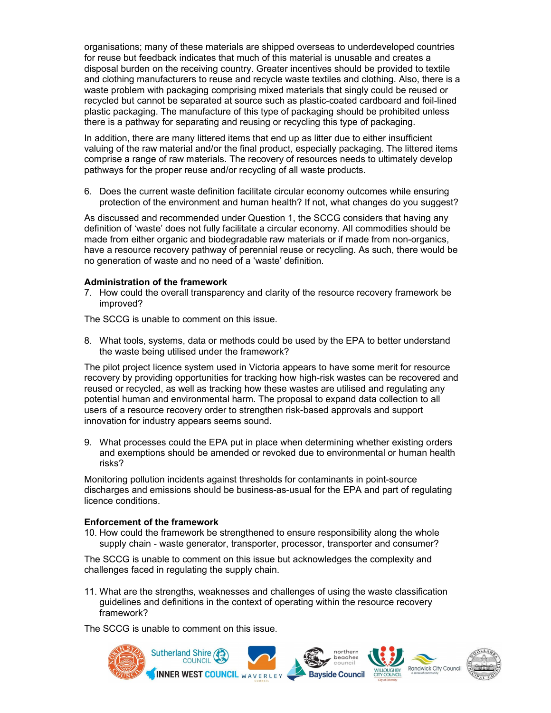organisations; many of these materials are shipped overseas to underdeveloped countries for reuse but feedback indicates that much of this material is unusable and creates a disposal burden on the receiving country. Greater incentives should be provided to textile and clothing manufacturers to reuse and recycle waste textiles and clothing. Also, there is a waste problem with packaging comprising mixed materials that singly could be reused or recycled but cannot be separated at source such as plastic-coated cardboard and foil-lined plastic packaging. The manufacture of this type of packaging should be prohibited unless there is a pathway for separating and reusing or recycling this type of packaging.

In addition, there are many littered items that end up as litter due to either insufficient valuing of the raw material and/or the final product, especially packaging. The littered items comprise a range of raw materials. The recovery of resources needs to ultimately develop pathways for the proper reuse and/or recycling of all waste products.

6. Does the current waste definition facilitate circular economy outcomes while ensuring protection of the environment and human health? If not, what changes do you suggest?

As discussed and recommended under Question 1, the SCCG considers that having any definition of 'waste' does not fully facilitate a circular economy. All commodities should be made from either organic and biodegradable raw materials or if made from non-organics, have a resource recovery pathway of perennial reuse or recycling. As such, there would be no generation of waste and no need of a 'waste' definition.

## Administration of the framework

7. How could the overall transparency and clarity of the resource recovery framework be improved?

The SCCG is unable to comment on this issue.

8. What tools, systems, data or methods could be used by the EPA to better understand the waste being utilised under the framework?

The pilot project licence system used in Victoria appears to have some merit for resource recovery by providing opportunities for tracking how high-risk wastes can be recovered and reused or recycled, as well as tracking how these wastes are utilised and regulating any potential human and environmental harm. The proposal to expand data collection to all users of a resource recovery order to strengthen risk-based approvals and support innovation for industry appears seems sound.

9. What processes could the EPA put in place when determining whether existing orders and exemptions should be amended or revoked due to environmental or human health risks?

Monitoring pollution incidents against thresholds for contaminants in point-source discharges and emissions should be business-as-usual for the EPA and part of regulating licence conditions.

## Enforcement of the framework

10. How could the framework be strengthened to ensure responsibility along the whole supply chain - waste generator, transporter, processor, transporter and consumer?

The SCCG is unable to comment on this issue but acknowledges the complexity and challenges faced in regulating the supply chain.

11. What are the strengths, weaknesses and challenges of using the waste classification guidelines and definitions in the context of operating within the resource recovery framework?

The SCCG is unable to comment on this issue.